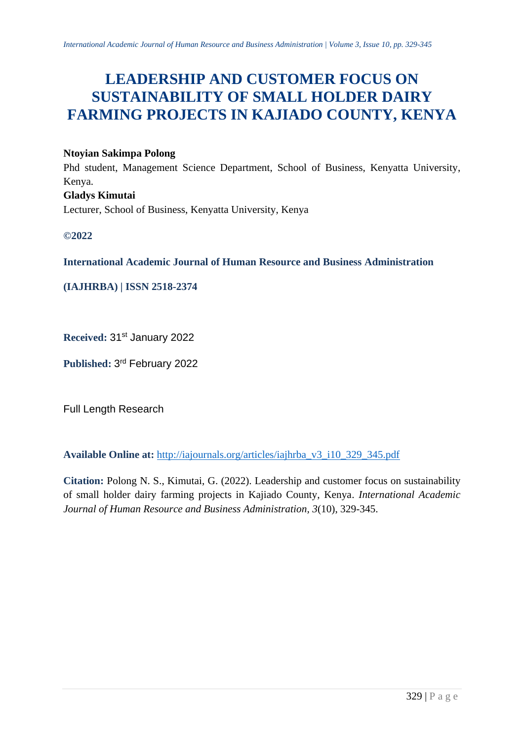# **LEADERSHIP AND CUSTOMER FOCUS ON SUSTAINABILITY OF SMALL HOLDER DAIRY FARMING PROJECTS IN KAJIADO COUNTY, KENYA**

# **Ntoyian Sakimpa Polong**

Phd student, Management Science Department, School of Business, Kenyatta University, Kenya. **Gladys Kimutai** Lecturer, School of Business, Kenyatta University, Kenya

**©2022**

**International Academic Journal of Human Resource and Business Administration**

**(IAJHRBA) | ISSN 2518-2374**

**Received:** 31st January 2022

**Published:** 3 rd February 2022

Full Length Research

**Available Online at:** [http://iajournals.org/articles/iajhrba\\_v3\\_i10\\_329\\_345.pdf](http://iajournals.org/articles/iajhrba_v3_i10_329_345.pdf)

**Citation:** Polong N. S., Kimutai, G. (2022). Leadership and customer focus on sustainability of small holder dairy farming projects in Kajiado County, Kenya. *International Academic Journal of Human Resource and Business Administration, 3*(10), 329-345.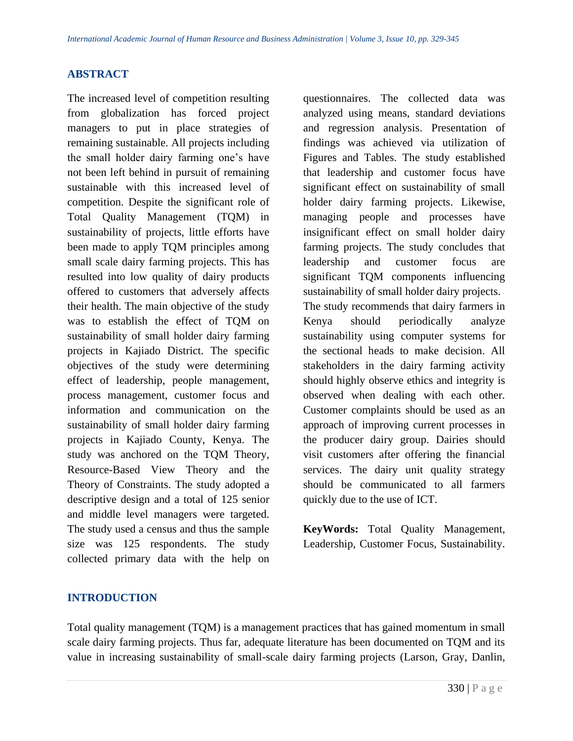#### **ABSTRACT**

The increased level of competition resulting from globalization has forced project managers to put in place strategies of remaining sustainable. All projects including the small holder dairy farming one's have not been left behind in pursuit of remaining sustainable with this increased level of competition. Despite the significant role of Total Quality Management (TQM) in sustainability of projects, little efforts have been made to apply TQM principles among small scale dairy farming projects. This has resulted into low quality of dairy products offered to customers that adversely affects their health. The main objective of the study was to establish the effect of TQM on sustainability of small holder dairy farming projects in Kajiado District. The specific objectives of the study were determining effect of leadership, people management, process management, customer focus and information and communication on the sustainability of small holder dairy farming projects in Kajiado County, Kenya. The study was anchored on the TQM Theory, Resource-Based View Theory and the Theory of Constraints. The study adopted a descriptive design and a total of 125 senior and middle level managers were targeted. The study used a census and thus the sample size was 125 respondents. The study collected primary data with the help on

questionnaires. The collected data was analyzed using means, standard deviations and regression analysis. Presentation of findings was achieved via utilization of Figures and Tables. The study established that leadership and customer focus have significant effect on sustainability of small holder dairy farming projects. Likewise, managing people and processes have insignificant effect on small holder dairy farming projects. The study concludes that leadership and customer focus are significant TQM components influencing sustainability of small holder dairy projects. The study recommends that dairy farmers in Kenya should periodically analyze sustainability using computer systems for the sectional heads to make decision. All stakeholders in the dairy farming activity should highly observe ethics and integrity is observed when dealing with each other. Customer complaints should be used as an approach of improving current processes in the producer dairy group. Dairies should visit customers after offering the financial services. The dairy unit quality strategy should be communicated to all farmers quickly due to the use of ICT.

**KeyWords:** Total Quality Management, Leadership, Customer Focus, Sustainability.

#### **INTRODUCTION**

Total quality management (TQM) is a management practices that has gained momentum in small scale dairy farming projects. Thus far, adequate literature has been documented on TQM and its value in increasing sustainability of small-scale dairy farming projects (Larson, Gray, Danlin,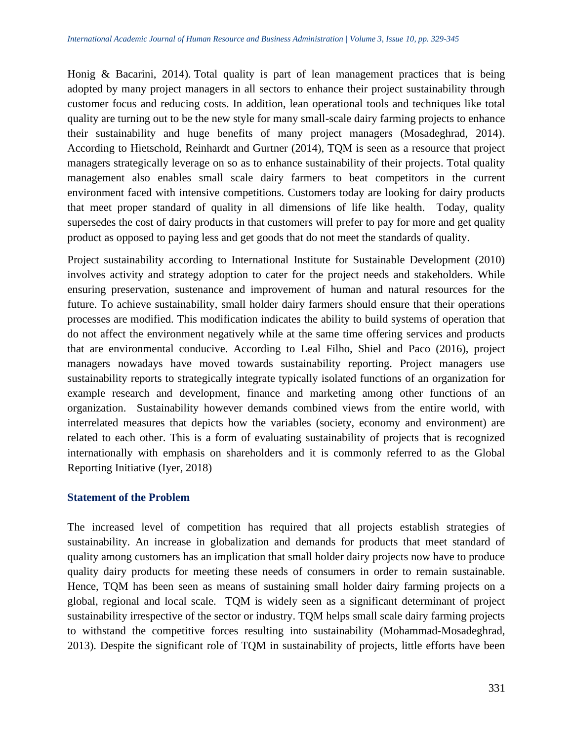Honig & Bacarini, 2014). Total quality is part of lean management practices that is being adopted by many project managers in all sectors to enhance their project sustainability through customer focus and reducing costs. In addition, lean operational tools and techniques like total quality are turning out to be the new style for many small-scale dairy farming projects to enhance their sustainability and huge benefits of many project managers (Mosadeghrad, 2014). According to Hietschold, Reinhardt and Gurtner (2014), TQM is seen as a resource that project managers strategically leverage on so as to enhance sustainability of their projects. Total quality management also enables small scale dairy farmers to beat competitors in the current environment faced with intensive competitions. Customers today are looking for dairy products that meet proper standard of quality in all dimensions of life like health. Today, quality supersedes the cost of dairy products in that customers will prefer to pay for more and get quality product as opposed to paying less and get goods that do not meet the standards of quality.

Project sustainability according to International Institute for Sustainable Development (2010) involves activity and strategy adoption to cater for the project needs and stakeholders. While ensuring preservation, sustenance and improvement of human and natural resources for the future. To achieve sustainability, small holder dairy farmers should ensure that their operations processes are modified. This modification indicates the ability to build systems of operation that do not affect the environment negatively while at the same time offering services and products that are environmental conducive. According to Leal Filho, Shiel and Paco (2016), project managers nowadays have moved towards sustainability reporting. Project managers use sustainability reports to strategically integrate typically isolated functions of an organization for example research and development, finance and marketing among other functions of an organization. Sustainability however demands combined views from the entire world, with interrelated measures that depicts how the variables (society, economy and environment) are related to each other. This is a form of evaluating sustainability of projects that is recognized internationally with emphasis on shareholders and it is commonly referred to as the Global Reporting Initiative (Iyer, 2018)

#### **Statement of the Problem**

The increased level of competition has required that all projects establish strategies of sustainability. An increase in globalization and demands for products that meet standard of quality among customers has an implication that small holder dairy projects now have to produce quality dairy products for meeting these needs of consumers in order to remain sustainable. Hence, TQM has been seen as means of sustaining small holder dairy farming projects on a global, regional and local scale. TQM is widely seen as a significant determinant of project sustainability irrespective of the sector or industry. TQM helps small scale dairy farming projects to withstand the competitive forces resulting into sustainability (Mohammad-Mosadeghrad, 2013). Despite the significant role of TQM in sustainability of projects, little efforts have been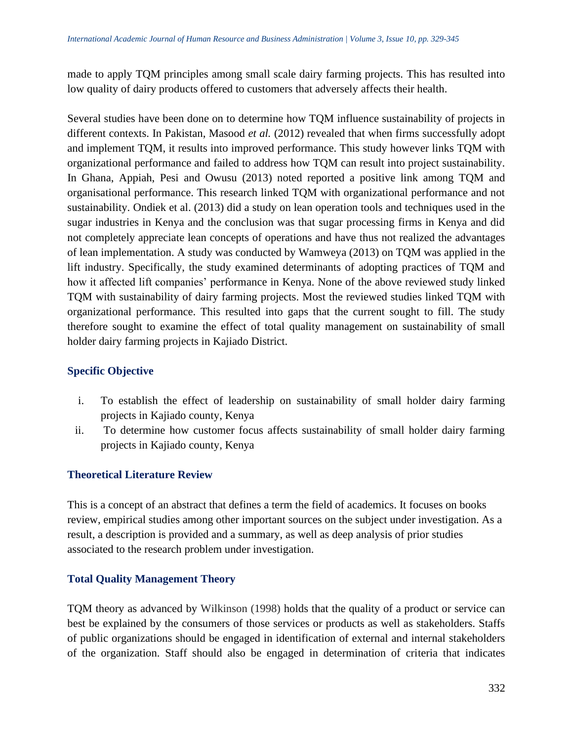made to apply TQM principles among small scale dairy farming projects. This has resulted into low quality of dairy products offered to customers that adversely affects their health.

Several studies have been done on to determine how TQM influence sustainability of projects in different contexts. In Pakistan, Masood *et al.* (2012) revealed that when firms successfully adopt and implement TQM, it results into improved performance. This study however links TQM with organizational performance and failed to address how TQM can result into project sustainability. In Ghana, Appiah, Pesi and Owusu (2013) noted reported a positive link among TQM and organisational performance. This research linked TQM with organizational performance and not sustainability. Ondiek et al. (2013) did a study on lean operation tools and techniques used in the sugar industries in Kenya and the conclusion was that sugar processing firms in Kenya and did not completely appreciate lean concepts of operations and have thus not realized the advantages of lean implementation. A study was conducted by Wamweya (2013) on TQM was applied in the lift industry. Specifically, the study examined determinants of adopting practices of TQM and how it affected lift companies' performance in Kenya. None of the above reviewed study linked TQM with sustainability of dairy farming projects. Most the reviewed studies linked TQM with organizational performance. This resulted into gaps that the current sought to fill. The study therefore sought to examine the effect of total quality management on sustainability of small holder dairy farming projects in Kajiado District.

#### **Specific Objective**

- i. To establish the effect of leadership on sustainability of small holder dairy farming projects in Kajiado county, Kenya
- ii. To determine how customer focus affects sustainability of small holder dairy farming projects in Kajiado county, Kenya

#### **Theoretical Literature Review**

This is a concept of an abstract that defines a term the field of academics. It focuses on books review, empirical studies among other important sources on the subject under investigation. As a result, a description is provided and a summary, as well as deep analysis of prior studies associated to the research problem under investigation.

#### **Total Quality Management Theory**

TQM theory as advanced by Wilkinson (1998) holds that the quality of a product or service can best be explained by the consumers of those services or products as well as stakeholders. Staffs of public organizations should be engaged in identification of external and internal stakeholders of the organization. Staff should also be engaged in determination of criteria that indicates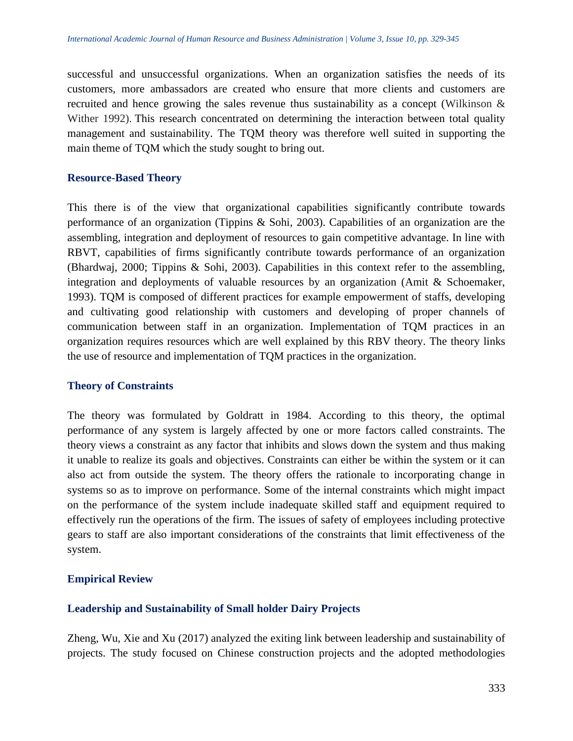successful and unsuccessful organizations. When an organization satisfies the needs of its customers, more ambassadors are created who ensure that more clients and customers are recruited and hence growing the sales revenue thus sustainability as a concept (Wilkinson & Wither 1992). This research concentrated on determining the interaction between total quality management and sustainability. The TQM theory was therefore well suited in supporting the main theme of TQM which the study sought to bring out.

#### **Resource-Based Theory**

This there is of the view that organizational capabilities significantly contribute towards performance of an organization (Tippins & Sohi, 2003). Capabilities of an organization are the assembling, integration and deployment of resources to gain competitive advantage. In line with RBVT, capabilities of firms significantly contribute towards performance of an organization (Bhardwaj, 2000; Tippins & Sohi, 2003). Capabilities in this context refer to the assembling, integration and deployments of valuable resources by an organization (Amit & Schoemaker, 1993). TQM is composed of different practices for example empowerment of staffs, developing and cultivating good relationship with customers and developing of proper channels of communication between staff in an organization. Implementation of TQM practices in an organization requires resources which are well explained by this RBV theory. The theory links the use of resource and implementation of TQM practices in the organization.

#### **Theory of Constraints**

The theory was formulated by Goldratt in 1984. According to this theory, the optimal performance of any system is largely affected by one or more factors called constraints. The theory views a constraint as any factor that inhibits and slows down the system and thus making it unable to realize its goals and objectives. Constraints can either be within the system or it can also act from outside the system. The theory offers the rationale to incorporating change in systems so as to improve on performance. Some of the internal constraints which might impact on the performance of the system include inadequate skilled staff and equipment required to effectively run the operations of the firm. The issues of safety of employees including protective gears to staff are also important considerations of the constraints that limit effectiveness of the system.

# **Empirical Review**

#### **Leadership and Sustainability of Small holder Dairy Projects**

Zheng, Wu, Xie and Xu (2017) analyzed the exiting link between leadership and sustainability of projects. The study focused on Chinese construction projects and the adopted methodologies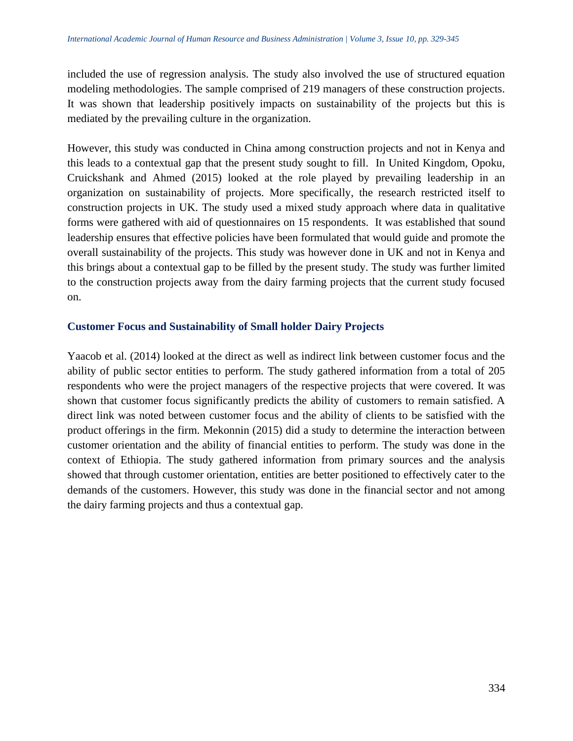included the use of regression analysis. The study also involved the use of structured equation modeling methodologies. The sample comprised of 219 managers of these construction projects. It was shown that leadership positively impacts on sustainability of the projects but this is mediated by the prevailing culture in the organization.

However, this study was conducted in China among construction projects and not in Kenya and this leads to a contextual gap that the present study sought to fill. In United Kingdom, Opoku, Cruickshank and Ahmed (2015) looked at the role played by prevailing leadership in an organization on sustainability of projects. More specifically, the research restricted itself to construction projects in UK. The study used a mixed study approach where data in qualitative forms were gathered with aid of questionnaires on 15 respondents. It was established that sound leadership ensures that effective policies have been formulated that would guide and promote the overall sustainability of the projects. This study was however done in UK and not in Kenya and this brings about a contextual gap to be filled by the present study. The study was further limited to the construction projects away from the dairy farming projects that the current study focused on.

#### **Customer Focus and Sustainability of Small holder Dairy Projects**

Yaacob et al. (2014) looked at the direct as well as indirect link between customer focus and the ability of public sector entities to perform. The study gathered information from a total of 205 respondents who were the project managers of the respective projects that were covered. It was shown that customer focus significantly predicts the ability of customers to remain satisfied. A direct link was noted between customer focus and the ability of clients to be satisfied with the product offerings in the firm. Mekonnin (2015) did a study to determine the interaction between customer orientation and the ability of financial entities to perform. The study was done in the context of Ethiopia. The study gathered information from primary sources and the analysis showed that through customer orientation, entities are better positioned to effectively cater to the demands of the customers. However, this study was done in the financial sector and not among the dairy farming projects and thus a contextual gap.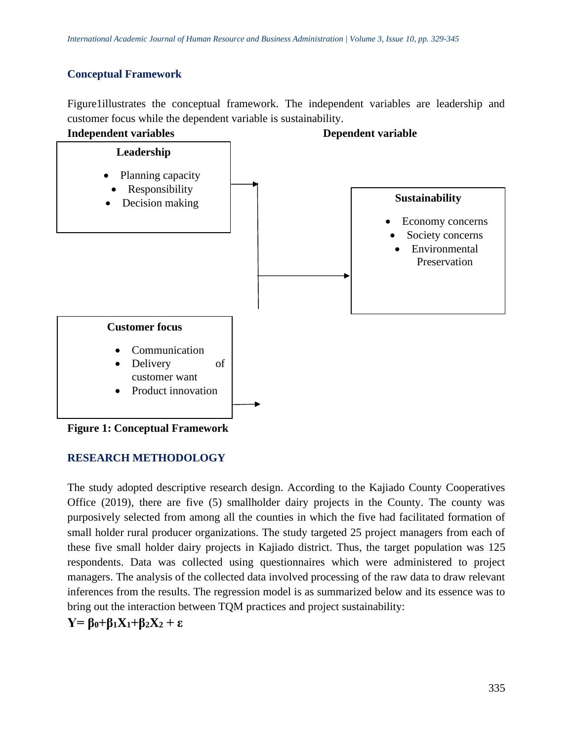# **Conceptual Framework**

Figure1illustrates the conceptual framework. The independent variables are leadership and customer focus while the dependent variable is sustainability.



**Figure 1: Conceptual Framework**

# **RESEARCH METHODOLOGY**

The study adopted descriptive research design. According to the Kajiado County Cooperatives Office (2019), there are five (5) smallholder dairy projects in the County. The county was purposively selected from among all the counties in which the five had facilitated formation of small holder rural producer organizations. The study targeted 25 project managers from each of these five small holder dairy projects in Kajiado district. Thus, the target population was 125 respondents. Data was collected using questionnaires which were administered to project managers. The analysis of the collected data involved processing of the raw data to draw relevant inferences from the results. The regression model is as summarized below and its essence was to bring out the interaction between TQM practices and project sustainability:

 $Y = \beta_0 + \beta_1 X_1 + \beta_2 X_2 + \epsilon$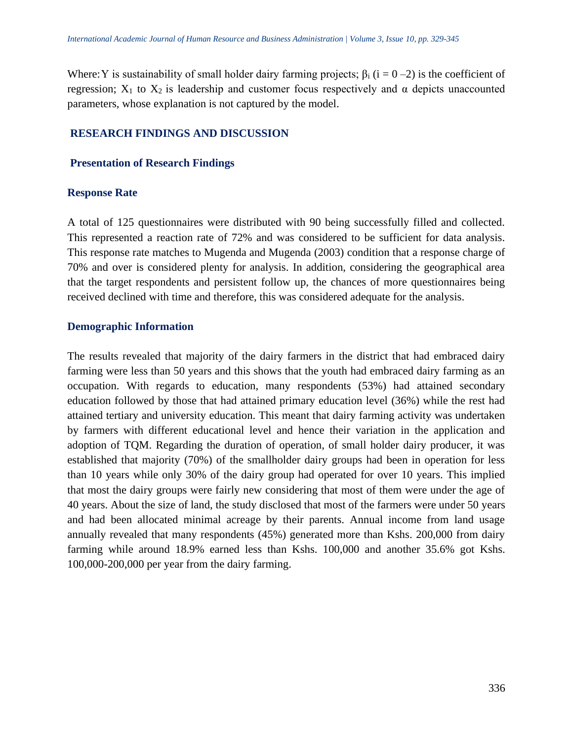Where: Y is sustainability of small holder dairy farming projects;  $\beta_i$  (i = 0 –2) is the coefficient of regression;  $X_1$  to  $X_2$  is leadership and customer focus respectively and α depicts unaccounted parameters, whose explanation is not captured by the model.

#### **RESEARCH FINDINGS AND DISCUSSION**

#### **Presentation of Research Findings**

#### **Response Rate**

A total of 125 questionnaires were distributed with 90 being successfully filled and collected. This represented a reaction rate of 72% and was considered to be sufficient for data analysis. This response rate matches to Mugenda and Mugenda (2003) condition that a response charge of 70% and over is considered plenty for analysis. In addition, considering the geographical area that the target respondents and persistent follow up, the chances of more questionnaires being received declined with time and therefore, this was considered adequate for the analysis.

#### **Demographic Information**

The results revealed that majority of the dairy farmers in the district that had embraced dairy farming were less than 50 years and this shows that the youth had embraced dairy farming as an occupation. With regards to education, many respondents (53%) had attained secondary education followed by those that had attained primary education level (36%) while the rest had attained tertiary and university education. This meant that dairy farming activity was undertaken by farmers with different educational level and hence their variation in the application and adoption of TQM. Regarding the duration of operation, of small holder dairy producer, it was established that majority (70%) of the smallholder dairy groups had been in operation for less than 10 years while only 30% of the dairy group had operated for over 10 years. This implied that most the dairy groups were fairly new considering that most of them were under the age of 40 years. About the size of land, the study disclosed that most of the farmers were under 50 years and had been allocated minimal acreage by their parents. Annual income from land usage annually revealed that many respondents (45%) generated more than Kshs. 200,000 from dairy farming while around 18.9% earned less than Kshs. 100,000 and another 35.6% got Kshs. 100,000-200,000 per year from the dairy farming.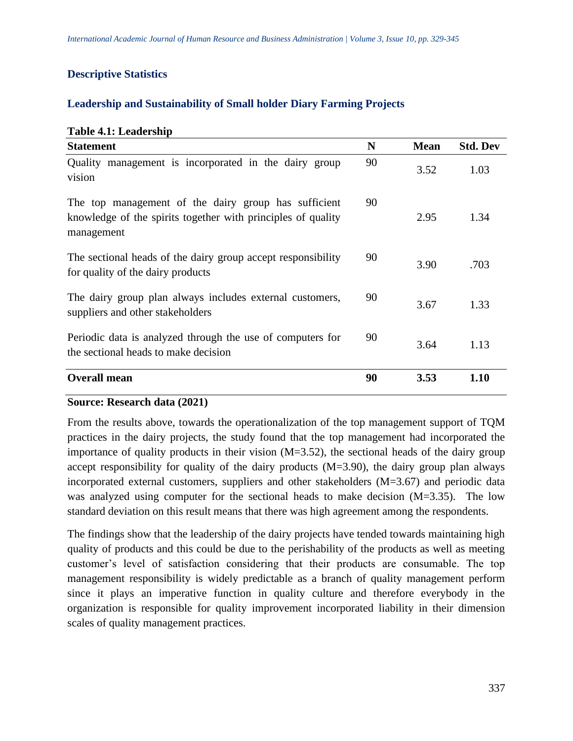# **Descriptive Statistics**

# **Leadership and Sustainability of Small holder Diary Farming Projects**

# **Table 4.1: Leadership**

| <b>Statement</b>                                                                                                                   | N  | <b>Mean</b> | <b>Std. Dev</b> |
|------------------------------------------------------------------------------------------------------------------------------------|----|-------------|-----------------|
| Quality management is incorporated in the dairy group<br>vision                                                                    | 90 | 3.52        | 1.03            |
| The top management of the dairy group has sufficient<br>knowledge of the spirits together with principles of quality<br>management | 90 | 2.95        | 1.34            |
| The sectional heads of the dairy group accept responsibility<br>for quality of the dairy products                                  | 90 | 3.90        | .703            |
| The dairy group plan always includes external customers,<br>suppliers and other stakeholders                                       | 90 | 3.67        | 1.33            |
| Periodic data is analyzed through the use of computers for<br>the sectional heads to make decision                                 | 90 | 3.64        | 1.13            |
| <b>Overall mean</b>                                                                                                                | 90 | 3.53        | 1.10            |

# **Source: Research data (2021)**

From the results above, towards the operationalization of the top management support of TQM practices in the dairy projects, the study found that the top management had incorporated the importance of quality products in their vision (M=3.52), the sectional heads of the dairy group accept responsibility for quality of the dairy products (M=3.90), the dairy group plan always incorporated external customers, suppliers and other stakeholders (M=3.67) and periodic data was analyzed using computer for the sectional heads to make decision (M=3.35). The low standard deviation on this result means that there was high agreement among the respondents.

The findings show that the leadership of the dairy projects have tended towards maintaining high quality of products and this could be due to the perishability of the products as well as meeting customer's level of satisfaction considering that their products are consumable. The top management responsibility is widely predictable as a branch of quality management perform since it plays an imperative function in quality culture and therefore everybody in the organization is responsible for quality improvement incorporated liability in their dimension scales of quality management practices.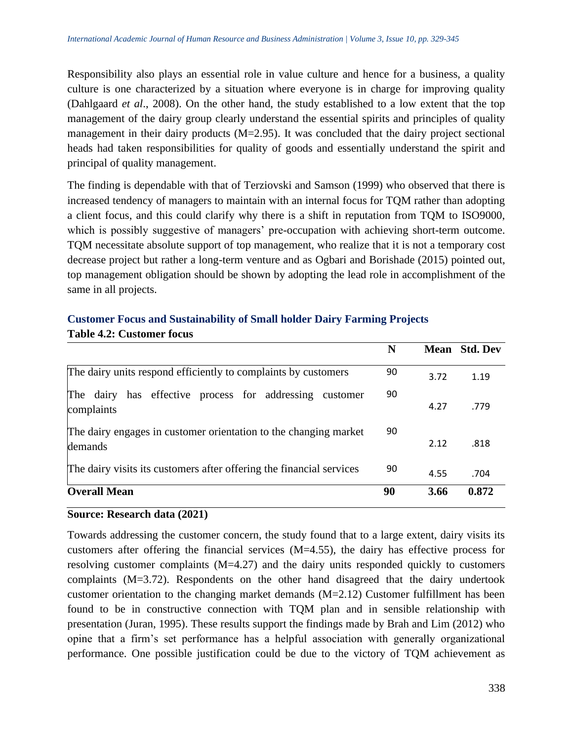Responsibility also plays an essential role in value culture and hence for a business, a quality culture is one characterized by a situation where everyone is in charge for improving quality (Dahlgaard *et al*., 2008). On the other hand, the study established to a low extent that the top management of the dairy group clearly understand the essential spirits and principles of quality management in their dairy products (M=2.95). It was concluded that the dairy project sectional heads had taken responsibilities for quality of goods and essentially understand the spirit and principal of quality management.

The finding is dependable with that of Terziovski and Samson (1999) who observed that there is increased tendency of managers to maintain with an internal focus for TQM rather than adopting a client focus, and this could clarify why there is a shift in reputation from TQM to ISO9000, which is possibly suggestive of managers' pre-occupation with achieving short-term outcome. TQM necessitate absolute support of top management, who realize that it is not a temporary cost decrease project but rather a long-term venture and as Ogbari and Borishade (2015) pointed out, top management obligation should be shown by adopting the lead role in accomplishment of the same in all projects.

|                                                                             | N  |      | <b>Mean</b> Std. Dev |
|-----------------------------------------------------------------------------|----|------|----------------------|
| The dairy units respond efficiently to complaints by customers              | 90 | 3.72 | 1.19                 |
| The dairy has effective process for addressing<br>customer<br>complaints    | 90 | 4.27 | .779                 |
| The dairy engages in customer orientation to the changing market<br>demands | 90 | 2.12 | .818                 |
| The dairy visits its customers after offering the financial services        | 90 | 4.55 | .704                 |
| <b>Overall Mean</b>                                                         | 90 | 3.66 | 0.872                |

#### **Customer Focus and Sustainability of Small holder Dairy Farming Projects Table 4.2: Customer focus**

# **Source: Research data (2021)**

Towards addressing the customer concern, the study found that to a large extent, dairy visits its customers after offering the financial services  $(M=4.55)$ , the dairy has effective process for resolving customer complaints  $(M=4.27)$  and the dairy units responded quickly to customers complaints (M=3.72). Respondents on the other hand disagreed that the dairy undertook customer orientation to the changing market demands (M=2.12) Customer fulfillment has been found to be in constructive connection with TQM plan and in sensible relationship with presentation (Juran, 1995). These results support the findings made by Brah and Lim (2012) who opine that a firm's set performance has a helpful association with generally organizational performance. One possible justification could be due to the victory of TQM achievement as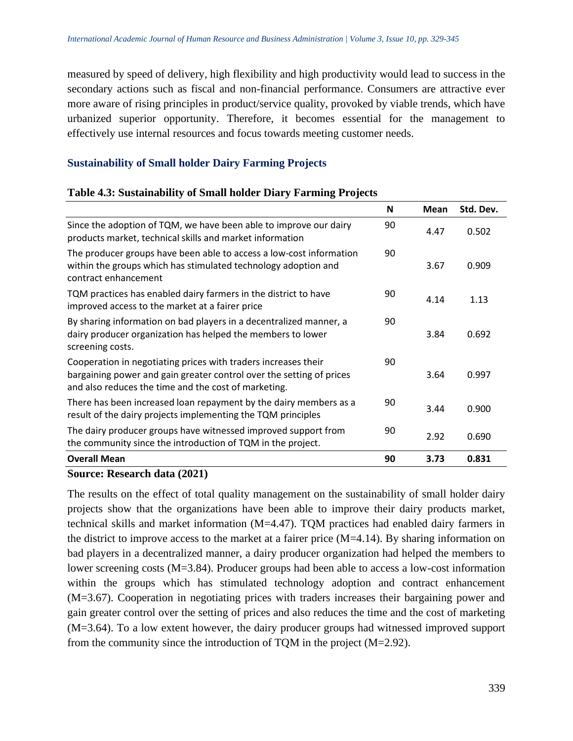measured by speed of delivery, high flexibility and high productivity would lead to success in the secondary actions such as fiscal and non-financial performance. Consumers are attractive ever more aware of rising principles in product/service quality, provoked by viable trends, which have urbanized superior opportunity. Therefore, it becomes essential for the management to effectively use internal resources and focus towards meeting customer needs.

#### **Sustainability of Small holder Dairy Farming Projects**

|                                                                                                                                                                                                | N  | Mean | Std. Dev. |
|------------------------------------------------------------------------------------------------------------------------------------------------------------------------------------------------|----|------|-----------|
| Since the adoption of TQM, we have been able to improve our dairy<br>products market, technical skills and market information                                                                  | 90 | 4.47 | 0.502     |
| The producer groups have been able to access a low-cost information<br>within the groups which has stimulated technology adoption and<br>contract enhancement                                  | 90 | 3.67 | 0.909     |
| TQM practices has enabled dairy farmers in the district to have<br>improved access to the market at a fairer price                                                                             | 90 | 4.14 | 1.13      |
| By sharing information on bad players in a decentralized manner, a<br>dairy producer organization has helped the members to lower<br>screening costs.                                          | 90 | 3.84 | 0.692     |
| Cooperation in negotiating prices with traders increases their<br>bargaining power and gain greater control over the setting of prices<br>and also reduces the time and the cost of marketing. | 90 | 3.64 | 0.997     |
| There has been increased loan repayment by the dairy members as a<br>result of the dairy projects implementing the TQM principles                                                              | 90 | 3.44 | 0.900     |
| The dairy producer groups have witnessed improved support from<br>the community since the introduction of TQM in the project.                                                                  | 90 | 2.92 | 0.690     |
| <b>Overall Mean</b>                                                                                                                                                                            | 90 | 3.73 | 0.831     |

#### **Table 4.3: Sustainability of Small holder Diary Farming Projects**

#### **Source: Research data (2021)**

The results on the effect of total quality management on the sustainability of small holder dairy projects show that the organizations have been able to improve their dairy products market, technical skills and market information (M=4.47). TQM practices had enabled dairy farmers in the district to improve access to the market at a fairer price (M=4.14). By sharing information on bad players in a decentralized manner, a dairy producer organization had helped the members to lower screening costs (M=3.84). Producer groups had been able to access a low-cost information within the groups which has stimulated technology adoption and contract enhancement (M=3.67). Cooperation in negotiating prices with traders increases their bargaining power and gain greater control over the setting of prices and also reduces the time and the cost of marketing (M=3.64). To a low extent however, the dairy producer groups had witnessed improved support from the community since the introduction of TQM in the project (M=2.92).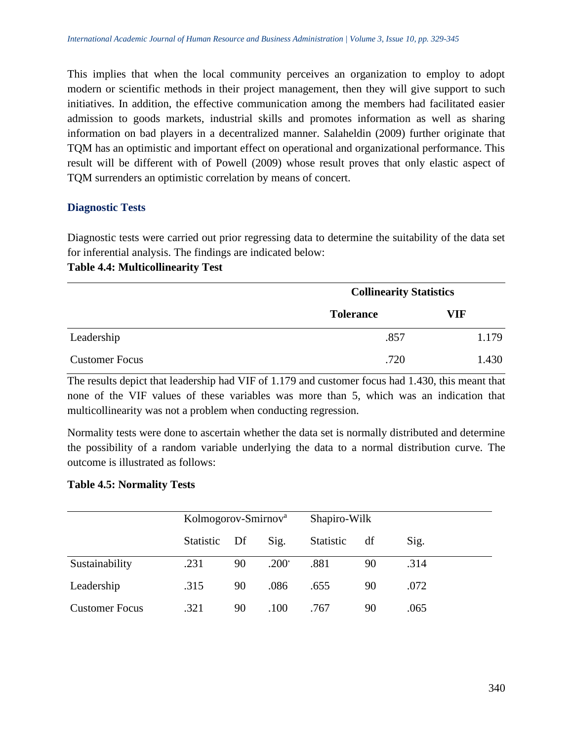This implies that when the local community perceives an organization to employ to adopt modern or scientific methods in their project management, then they will give support to such initiatives. In addition, the effective communication among the members had facilitated easier admission to goods markets, industrial skills and promotes information as well as sharing information on bad players in a decentralized manner. Salaheldin (2009) further originate that TQM has an optimistic and important effect on operational and organizational performance. This result will be different with of Powell (2009) whose result proves that only elastic aspect of TQM surrenders an optimistic correlation by means of concert.

#### **Diagnostic Tests**

Diagnostic tests were carried out prior regressing data to determine the suitability of the data set for inferential analysis. The findings are indicated below:

#### **Table 4.4: Multicollinearity Test**

|                       |                  | <b>Collinearity Statistics</b> |  |  |
|-----------------------|------------------|--------------------------------|--|--|
|                       | <b>Tolerance</b> | VIF                            |  |  |
| Leadership            | .857             | 1.179                          |  |  |
| <b>Customer Focus</b> | .720             | 1.430                          |  |  |

The results depict that leadership had VIF of 1.179 and customer focus had 1.430, this meant that none of the VIF values of these variables was more than 5, which was an indication that multicollinearity was not a problem when conducting regression.

Normality tests were done to ascertain whether the data set is normally distributed and determine the possibility of a random variable underlying the data to a normal distribution curve. The outcome is illustrated as follows:

#### **Table 4.5: Normality Tests**

|                       |              | Kolmogorov-Smirnov <sup>a</sup> |                | Shapiro-Wilk |    |      |
|-----------------------|--------------|---------------------------------|----------------|--------------|----|------|
|                       | Statistic Df |                                 | Sig.           | Statistic    | df | Sig. |
| Sustainability        | .231         | 90                              | $.200^{\circ}$ | .881         | 90 | .314 |
| Leadership            | .315         | 90                              | .086           | .655         | 90 | .072 |
| <b>Customer Focus</b> | .321         | 90                              | .100           | .767         | 90 | .065 |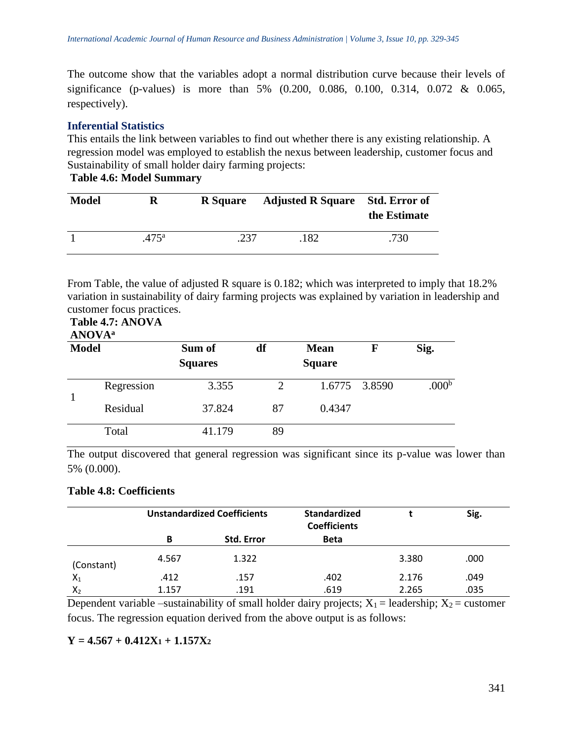The outcome show that the variables adopt a normal distribution curve because their levels of significance (p-values) is more than 5% (0.200, 0.086, 0.100, 0.314, 0.072 & 0.065, respectively).

# **Inferential Statistics**

This entails the link between variables to find out whether there is any existing relationship. A regression model was employed to establish the nexus between leadership, customer focus and Sustainability of small holder dairy farming projects:

**Table 4.6: Model Summary**

| <b>Model</b> | R              | <b>R</b> Square | <b>Adjusted R Square</b> Std. Error of | the Estimate |
|--------------|----------------|-----------------|----------------------------------------|--------------|
|              | $.475^{\rm a}$ | .237            | .182                                   | .730         |

From Table, the value of adjusted R square is 0.182; which was interpreted to imply that 18.2% variation in sustainability of dairy farming projects was explained by variation in leadership and customer focus practices.

#### **Table 4.7: ANOVA ANOVA<sup>a</sup>**

| <b>AIVU VA</b><br><b>Model</b> |            | Sum of<br><b>Squares</b> | df                          | <b>Mean</b><br><b>Square</b> |               | Sig.              |
|--------------------------------|------------|--------------------------|-----------------------------|------------------------------|---------------|-------------------|
|                                | Regression | 3.355                    | $\mathcal{D}_{\mathcal{A}}$ |                              | 1.6775 3.8590 | .000 <sup>b</sup> |
|                                | Residual   | 37.824                   | 87                          | 0.4347                       |               |                   |
|                                | Total      | 41.179                   | 89                          |                              |               |                   |

The output discovered that general regression was significant since its p-value was lower than 5% (0.000).

# **Table 4.8: Coefficients**

|            | <b>Unstandardized Coefficients</b> |                   | <b>Standardized</b><br><b>Coefficients</b> |       | Sig. |
|------------|------------------------------------|-------------------|--------------------------------------------|-------|------|
|            | B                                  | <b>Std. Error</b> | <b>Beta</b>                                |       |      |
| (Constant) | 4.567                              | 1.322             |                                            | 3.380 | .000 |
| $X_1$      | .412                               | .157              | .402                                       | 2.176 | .049 |
| $X_2$      | 1.157                              | .191              | .619                                       | 2.265 | .035 |

Dependent variable –sustainability of small holder dairy projects;  $X_1$  = leadership;  $X_2$  = customer focus. The regression equation derived from the above output is as follows:

# $Y = 4.567 + 0.412X_1 + 1.157X_2$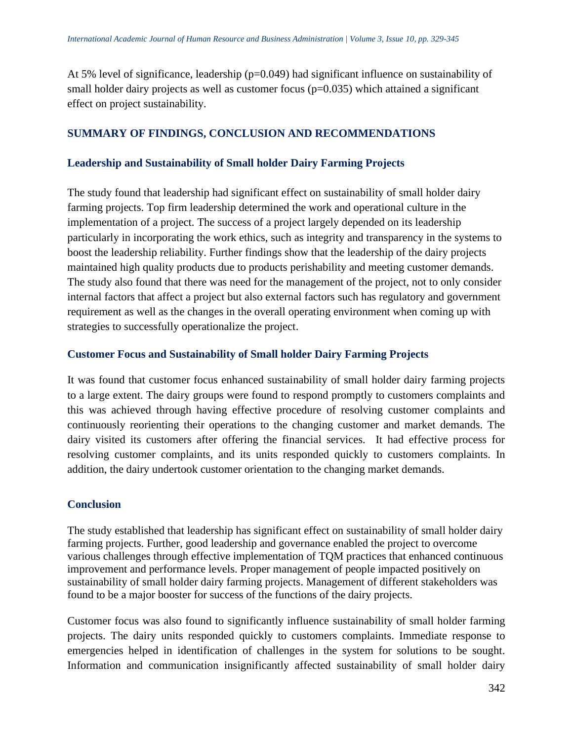At 5% level of significance, leadership (p=0.049) had significant influence on sustainability of small holder dairy projects as well as customer focus  $(p=0.035)$  which attained a significant effect on project sustainability.

#### **SUMMARY OF FINDINGS, CONCLUSION AND RECOMMENDATIONS**

#### **Leadership and Sustainability of Small holder Dairy Farming Projects**

The study found that leadership had significant effect on sustainability of small holder dairy farming projects. Top firm leadership determined the work and operational culture in the implementation of a project. The success of a project largely depended on its leadership particularly in incorporating the work ethics, such as integrity and transparency in the systems to boost the leadership reliability. Further findings show that the leadership of the dairy projects maintained high quality products due to products perishability and meeting customer demands. The study also found that there was need for the management of the project, not to only consider internal factors that affect a project but also external factors such has regulatory and government requirement as well as the changes in the overall operating environment when coming up with strategies to successfully operationalize the project.

#### **Customer Focus and Sustainability of Small holder Dairy Farming Projects**

It was found that customer focus enhanced sustainability of small holder dairy farming projects to a large extent. The dairy groups were found to respond promptly to customers complaints and this was achieved through having effective procedure of resolving customer complaints and continuously reorienting their operations to the changing customer and market demands. The dairy visited its customers after offering the financial services. It had effective process for resolving customer complaints, and its units responded quickly to customers complaints. In addition, the dairy undertook customer orientation to the changing market demands.

#### **Conclusion**

The study established that leadership has significant effect on sustainability of small holder dairy farming projects. Further, good leadership and governance enabled the project to overcome various challenges through effective implementation of TQM practices that enhanced continuous improvement and performance levels. Proper management of people impacted positively on sustainability of small holder dairy farming projects. Management of different stakeholders was found to be a major booster for success of the functions of the dairy projects.

Customer focus was also found to significantly influence sustainability of small holder farming projects. The dairy units responded quickly to customers complaints. Immediate response to emergencies helped in identification of challenges in the system for solutions to be sought. Information and communication insignificantly affected sustainability of small holder dairy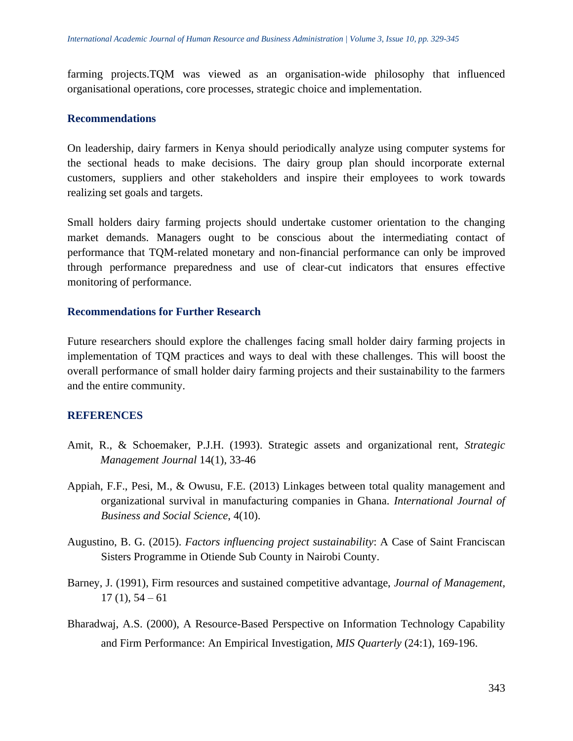farming projects.TQM was viewed as an organisation-wide philosophy that influenced organisational operations, core processes, strategic choice and implementation.

#### **Recommendations**

On leadership, dairy farmers in Kenya should periodically analyze using computer systems for the sectional heads to make decisions. The dairy group plan should incorporate external customers, suppliers and other stakeholders and inspire their employees to work towards realizing set goals and targets.

Small holders dairy farming projects should undertake customer orientation to the changing market demands. Managers ought to be conscious about the intermediating contact of performance that TQM-related monetary and non-financial performance can only be improved through performance preparedness and use of clear-cut indicators that ensures effective monitoring of performance.

#### **Recommendations for Further Research**

Future researchers should explore the challenges facing small holder dairy farming projects in implementation of TQM practices and ways to deal with these challenges. This will boost the overall performance of small holder dairy farming projects and their sustainability to the farmers and the entire community.

#### **REFERENCES**

- Amit, R., & Schoemaker, P.J.H. (1993). Strategic assets and organizational rent, *Strategic Management Journal* 14(1), 33-46
- Appiah, F.F., Pesi, M., & Owusu, F.E. (2013) Linkages between total quality management and organizational survival in manufacturing companies in Ghana. *International Journal of Business and Social Science*, 4(10).
- Augustino, B. G. (2015). *Factors influencing project sustainability*: A Case of Saint Franciscan Sisters Programme in Otiende Sub County in Nairobi County.
- Barney, J. (1991), Firm resources and sustained competitive advantage, *Journal of Management,*  $17(1), 54-61$
- Bharadwaj, A.S. (2000), A Resource-Based Perspective on Information Technology Capability and Firm Performance: An Empirical Investigation, *MIS Quarterly* (24:1), 169-196.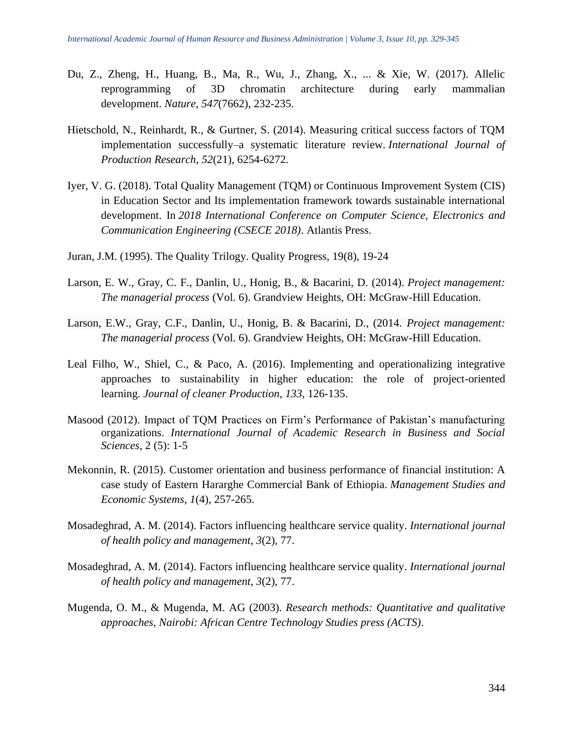- Du, Z., Zheng, H., Huang, B., Ma, R., Wu, J., Zhang, X., ... & Xie, W. (2017). Allelic reprogramming of 3D chromatin architecture during early mammalian development. *Nature*, *547*(7662), 232-235.
- Hietschold, N., Reinhardt, R., & Gurtner, S. (2014). Measuring critical success factors of TQM implementation successfully–a systematic literature review. *International Journal of Production Research*, *52*(21), 6254-6272.
- Iyer, V. G. (2018). Total Quality Management (TQM) or Continuous Improvement System (CIS) in Education Sector and Its implementation framework towards sustainable international development. In *2018 International Conference on Computer Science, Electronics and Communication Engineering (CSECE 2018)*. Atlantis Press.
- Juran, J.M. (1995). The Quality Trilogy. Quality Progress, 19(8), 19-24
- Larson, E. W., Gray, C. F., Danlin, U., Honig, B., & Bacarini, D. (2014). *Project management: The managerial process* (Vol. 6). Grandview Heights, OH: McGraw-Hill Education.
- Larson, E.W., Gray, C.F., Danlin, U., Honig, B. & Bacarini, D., (2014. *Project management: The managerial process* (Vol. 6). Grandview Heights, OH: McGraw-Hill Education.
- Leal Filho, W., Shiel, C., & Paco, A. (2016). Implementing and operationalizing integrative approaches to sustainability in higher education: the role of project-oriented learning. *Journal of cleaner Production*, *133*, 126-135.
- Masood (2012). Impact of TQM Practices on Firm's Performance of Pakistan's manufacturing organizations. *International Journal of Academic Research in Business and Social Sciences*, 2 (5): 1-5
- Mekonnin, R. (2015). Customer orientation and business performance of financial institution: A case study of Eastern Hararghe Commercial Bank of Ethiopia. *Management Studies and Economic Systems*, *1*(4), 257-265.
- Mosadeghrad, A. M. (2014). Factors influencing healthcare service quality. *International journal of health policy and management*, *3*(2), 77.
- Mosadeghrad, A. M. (2014). Factors influencing healthcare service quality. *International journal of health policy and management*, *3*(2), 77.
- Mugenda, O. M., & Mugenda, M. AG (2003). *Research methods: Quantitative and qualitative approaches, Nairobi: African Centre Technology Studies press (ACTS)*.